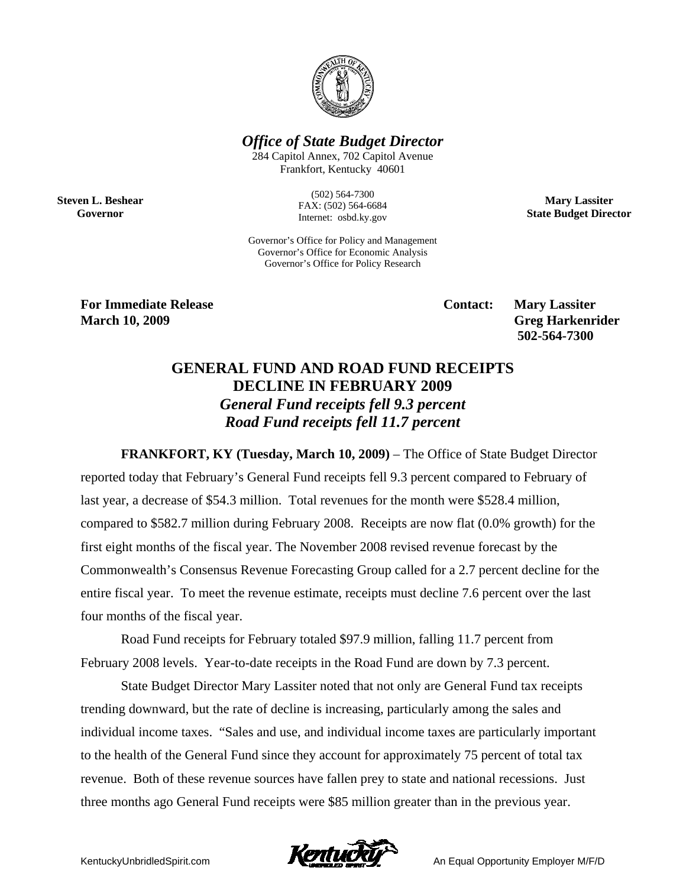

*Office of State Budget Director* 

284 Capitol Annex, 702 Capitol Avenue Frankfort, Kentucky 40601

> (502) 564-7300 FAX: (502) 564-6684 Internet: osbd.ky.gov

Governor's Office for Policy and Management Governor's Office for Economic Analysis Governor's Office for Policy Research

**Mary Lassiter State Budget Director** 

**For Immediate Release Contact: Mary Lassiter Contact:** Mary Lassiter

**Steven L. Beshear Governor** 

**March 10, 2009** Greg Harkenrider  **502-564-7300** 

## **GENERAL FUND AND ROAD FUND RECEIPTS DECLINE IN FEBRUARY 2009**  *General Fund receipts fell 9.3 percent Road Fund receipts fell 11.7 percent*

**FRANKFORT, KY (Tuesday, March 10, 2009)** – The Office of State Budget Director reported today that February's General Fund receipts fell 9.3 percent compared to February of last year, a decrease of \$54.3 million. Total revenues for the month were \$528.4 million, compared to \$582.7 million during February 2008. Receipts are now flat (0.0% growth) for the first eight months of the fiscal year. The November 2008 revised revenue forecast by the Commonwealth's Consensus Revenue Forecasting Group called for a 2.7 percent decline for the entire fiscal year. To meet the revenue estimate, receipts must decline 7.6 percent over the last four months of the fiscal year.

Road Fund receipts for February totaled \$97.9 million, falling 11.7 percent from February 2008 levels. Year-to-date receipts in the Road Fund are down by 7.3 percent.

State Budget Director Mary Lassiter noted that not only are General Fund tax receipts trending downward, but the rate of decline is increasing, particularly among the sales and individual income taxes. "Sales and use, and individual income taxes are particularly important to the health of the General Fund since they account for approximately 75 percent of total tax revenue. Both of these revenue sources have fallen prey to state and national recessions. Just three months ago General Fund receipts were \$85 million greater than in the previous year.

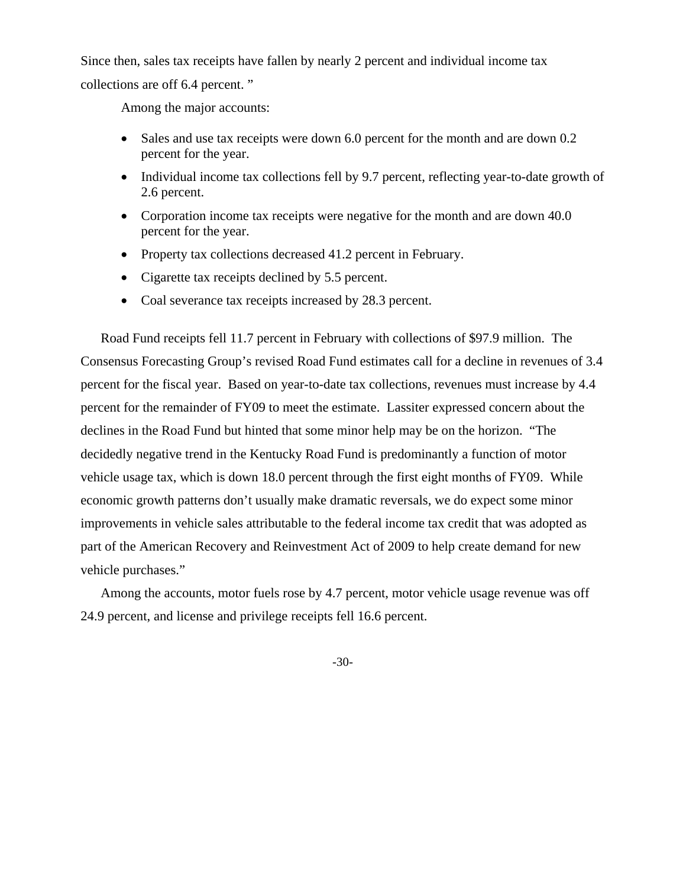Since then, sales tax receipts have fallen by nearly 2 percent and individual income tax collections are off 6.4 percent. "

Among the major accounts:

- Sales and use tax receipts were down 6.0 percent for the month and are down 0.2 percent for the year.
- Individual income tax collections fell by 9.7 percent, reflecting year-to-date growth of 2.6 percent.
- Corporation income tax receipts were negative for the month and are down 40.0 percent for the year.
- Property tax collections decreased 41.2 percent in February.
- Cigarette tax receipts declined by 5.5 percent.
- Coal severance tax receipts increased by 28.3 percent.

Road Fund receipts fell 11.7 percent in February with collections of \$97.9 million. The Consensus Forecasting Group's revised Road Fund estimates call for a decline in revenues of 3.4 percent for the fiscal year. Based on year-to-date tax collections, revenues must increase by 4.4 percent for the remainder of FY09 to meet the estimate. Lassiter expressed concern about the declines in the Road Fund but hinted that some minor help may be on the horizon. "The decidedly negative trend in the Kentucky Road Fund is predominantly a function of motor vehicle usage tax, which is down 18.0 percent through the first eight months of FY09. While economic growth patterns don't usually make dramatic reversals, we do expect some minor improvements in vehicle sales attributable to the federal income tax credit that was adopted as part of the American Recovery and Reinvestment Act of 2009 to help create demand for new vehicle purchases."

Among the accounts, motor fuels rose by 4.7 percent, motor vehicle usage revenue was off 24.9 percent, and license and privilege receipts fell 16.6 percent.

-30-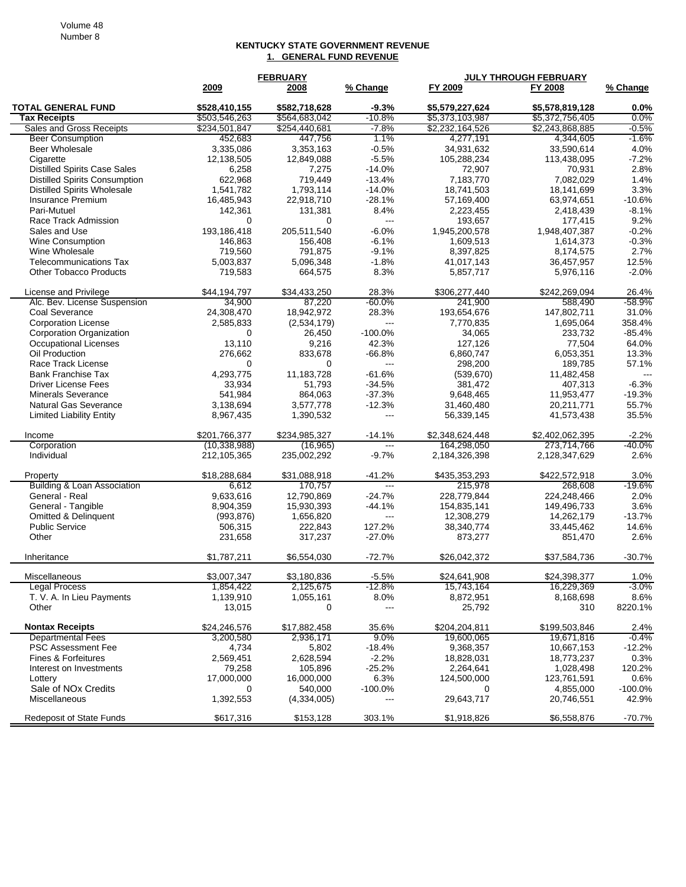## **KENTUCKY STATE GOVERNMENT REVENUE 1. GENERAL FUND REVENUE**

|                                      | <b>FEBRUARY</b> |               |                          | <b>JULY THROUGH FEBRUARY</b> |                 |            |  |
|--------------------------------------|-----------------|---------------|--------------------------|------------------------------|-----------------|------------|--|
|                                      | 2009            | 2008          | % Change                 | FY 2009                      | FY 2008         | % Change   |  |
| <b>TOTAL GENERAL FUND</b>            | \$528,410,155   | \$582.718.628 | $-9.3%$                  | \$5,579,227.624              | \$5,578,819,128 | $0.0\%$    |  |
| <b>Tax Receipts</b>                  | \$503,546,263   | \$564,683,042 | $-10.8%$                 | \$5,373,103,987              | \$5,372,756,405 | 0.0%       |  |
| Sales and Gross Receipts             | \$234,501,847   | \$254,440,681 | $-7.8%$                  | \$2,232,164,526              | \$2,243,868,885 | $-0.5%$    |  |
| <b>Beer Consumption</b>              | 452,683         | 447,756       | 1.1%                     | 4,277,191                    | 4,344,605       | $-1.6%$    |  |
| Beer Wholesale                       | 3,335,086       | 3,353,163     | $-0.5%$                  | 34,931,632                   | 33,590,614      | 4.0%       |  |
| Cigarette                            | 12,138,505      | 12,849,088    | $-5.5%$                  | 105,288,234                  | 113,438,095     | $-7.2%$    |  |
| <b>Distilled Spirits Case Sales</b>  | 6,258           | 7,275         | $-14.0%$                 | 72,907                       | 70,931          | 2.8%       |  |
| <b>Distilled Spirits Consumption</b> | 622,968         | 719,449       | $-13.4%$                 | 7,183,770                    | 7,082,029       | 1.4%       |  |
| <b>Distilled Spirits Wholesale</b>   | 1,541,782       | 1,793,114     | $-14.0%$                 | 18,741,503                   | 18,141,699      | 3.3%       |  |
| <b>Insurance Premium</b>             | 16,485,943      | 22,918,710    | $-28.1%$                 | 57,169,400                   | 63,974,651      | $-10.6%$   |  |
| Pari-Mutuel                          | 142,361         | 131,381       | 8.4%                     | 2,223,455                    | 2,418,439       | $-8.1%$    |  |
| Race Track Admission                 | 0               | 0             | $\overline{\phantom{a}}$ | 193.657                      | 177,415         | 9.2%       |  |
| Sales and Use                        | 193,186,418     | 205,511,540   | $-6.0%$                  | 1,945,200,578                | 1,948,407,387   | $-0.2%$    |  |
| <b>Wine Consumption</b>              | 146,863         | 156,408       | $-6.1%$                  | 1,609,513                    | 1,614,373       | $-0.3%$    |  |
| Wine Wholesale                       | 719,560         | 791,875       | $-9.1%$                  | 8,397,825                    | 8,174,575       | 2.7%       |  |
| <b>Telecommunications Tax</b>        | 5,003,837       | 5,096,348     | $-1.8%$                  | 41,017,143                   | 36,457,957      | 12.5%      |  |
| <b>Other Tobacco Products</b>        | 719,583         | 664,575       | 8.3%                     | 5,857,717                    | 5,976,116       | $-2.0%$    |  |
| License and Privilege                | \$44,194,797    | \$34,433,250  | 28.3%                    | \$306,277,440                | \$242,269,094   | 26.4%      |  |
| Alc. Bev. License Suspension         | 34,900          | 87,220        | $-60.0\%$                | 241,900                      | 588,490         | $-58.9%$   |  |
| Coal Severance                       | 24,308,470      | 18,942,972    | 28.3%                    | 193,654,676                  | 147,802,711     | 31.0%      |  |
| <b>Corporation License</b>           | 2,585,833       | (2,534,179)   | $\overline{a}$           | 7,770,835                    | 1,695,064       | 358.4%     |  |
| Corporation Organization             | 0               | 26,450        | $-100.0\%$               | 34,065                       | 233,732         | $-85.4%$   |  |
| <b>Occupational Licenses</b>         | 13,110          | 9,216         | 42.3%                    | 127,126                      | 77,504          | 64.0%      |  |
| Oil Production                       | 276,662         | 833,678       | $-66.8%$                 | 6,860,747                    | 6,053,351       | 13.3%      |  |
| Race Track License                   | 0               | 0             | ---                      | 298,200                      | 189,785         | 57.1%      |  |
| <b>Bank Franchise Tax</b>            | 4,293,775       | 11,183,728    | $-61.6%$                 | (539, 670)                   | 11,482,458      |            |  |
| <b>Driver License Fees</b>           | 33,934          | 51,793        | $-34.5%$                 | 381,472                      | 407,313         | $-6.3%$    |  |
| <b>Minerals Severance</b>            | 541,984         | 864,063       | $-37.3%$                 | 9,648,465                    | 11,953,477      | $-19.3%$   |  |
| <b>Natural Gas Severance</b>         | 3,138,694       | 3,577,778     | $-12.3%$                 | 31,460,480                   | 20,211,771      | 55.7%      |  |
| <b>Limited Liability Entity</b>      | 8,967,435       | 1,390,532     | ---                      | 56,339,145                   | 41,573,438      | 35.5%      |  |
| Income                               | \$201,766,377   | \$234,985,327 | $-14.1%$                 | \$2,348,624,448              | \$2,402,062,395 | $-2.2%$    |  |
| Corporation                          | (10, 338, 988)  | (16, 965)     | $\overline{\phantom{a}}$ | 164,298,050                  | 273,714,766     | -40.0%     |  |
| Individual                           | 212,105,365     | 235,002,292   | $-9.7%$                  | 2,184,326,398                | 2,128,347,629   | 2.6%       |  |
| Property                             | \$18,288,684    | \$31,088,918  | $-41.2%$                 | \$435,353,293                | \$422,572,918   | 3.0%       |  |
| Building & Loan Association          | 6,612           | 170,757       | $\overline{\phantom{a}}$ | 215,978                      | 268,608         | $-19.6%$   |  |
| General - Real                       | 9,633,616       | 12,790,869    | $-24.7%$                 | 228,779,844                  | 224,248,466     | 2.0%       |  |
| General - Tangible                   | 8,904,359       | 15,930,393    | $-44.1%$                 | 154,835,141                  | 149,496,733     | 3.6%       |  |
| <b>Omitted &amp; Delinquent</b>      | (993, 876)      | 1,656,820     | $\hspace{0.05cm} \ldots$ | 12,308,279                   | 14,262,179      | $-13.7%$   |  |
| <b>Public Service</b>                | 506,315         | 222,843       | 127.2%                   | 38,340,774                   | 33,445,462      | 14.6%      |  |
| Other                                | 231,658         | 317,237       | $-27.0%$                 | 873,277                      | 851,470         | 2.6%       |  |
| Inheritance                          | \$1,787,211     | \$6,554,030   | $-72.7%$                 | \$26,042,372                 | \$37,584,736    | $-30.7%$   |  |
| Miscellaneous                        | \$3,007,347     | \$3,180,836   | $-5.5%$                  | \$24,641,908                 | \$24,398,377    | 1.0%       |  |
| <b>Legal Process</b>                 | 1,854,422       | 2,125,675     | $-12.8%$                 | 15,743,164                   | 16,229,369      | $-3.0\%$   |  |
| T. V. A. In Lieu Payments            | 1,139,910       | 1,055,161     | 8.0%                     | 8,872,951                    | 8,168,698       | 8.6%       |  |
| Other                                | 13,015          | 0             | $\scriptstyle \cdots$    | 25,792                       | 310             | 8220.1%    |  |
| <b>Nontax Receipts</b>               | \$24,246,576    | \$17,882,458  | 35.6%                    | \$204,204,811                | \$199,503,846   | 2.4%       |  |
| <b>Departmental Fees</b>             | 3,200,580       | 2,936,171     | $9.0\%$                  | 19,600,065                   | 19,671,816      | $-0.4%$    |  |
| <b>PSC Assessment Fee</b>            | 4,734           | 5,802         | $-18.4%$                 | 9,368,357                    | 10,667,153      | $-12.2%$   |  |
| Fines & Forfeitures                  | 2,569,451       | 2,628,594     | $-2.2%$                  | 18,828,031                   | 18,773,237      | 0.3%       |  |
| Interest on Investments              | 79,258          | 105,896       | $-25.2%$                 | 2,264,641                    | 1,028,498       | 120.2%     |  |
| Lottery                              | 17,000,000      | 16,000,000    | 6.3%                     | 124,500,000                  | 123,761,591     | 0.6%       |  |
| Sale of NO <sub>x</sub> Credits      | 0               | 540,000       | -100.0%                  | 0                            | 4,855,000       | $-100.0\%$ |  |
| Miscellaneous                        | 1,392,553       | (4,334,005)   |                          | 29,643,717                   | 20,746,551      | 42.9%      |  |
| <b>Redeposit of State Funds</b>      | \$617,316       | \$153,128     | 303.1%                   | \$1,918,826                  | \$6,558,876     | $-70.7%$   |  |